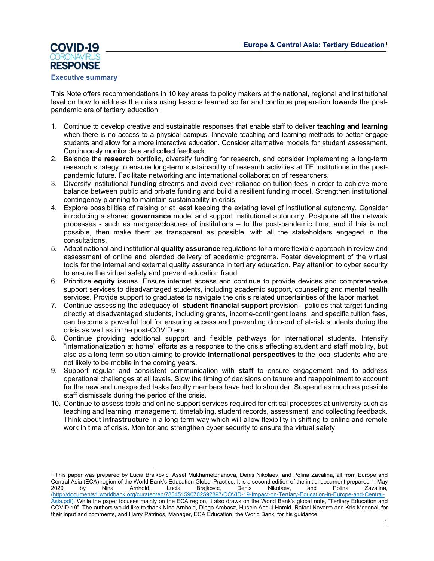

#### **Executive summary**

This Note offers recommendations in 10 key areas to policy makers at the national, regional and institutional level on how to address the crisis using lessons learned so far and continue preparation towards the postpandemic era of tertiary education:

- 1. Continue to develop creative and sustainable responses that enable staff to deliver **teaching and learning** when there is no access to a physical campus. Innovate teaching and learning methods to better engage students and allow for a more interactive education. Consider alternative models for student assessment. Continuously monitor data and collect feedback.
- 2. Balance the **research** portfolio, diversify funding for research, and consider implementing a long-term research strategy to ensure long-term sustainability of research activities at TE institutions in the postpandemic future. Facilitate networking and international collaboration of researchers.
- 3. Diversify institutional **funding** streams and avoid over-reliance on tuition fees in order to achieve more balance between public and private funding and build a resilient funding model. Strengthen institutional contingency planning to maintain sustainability in crisis.
- 4. Explore possibilities of raising or at least keeping the existing level of institutional autonomy. Consider introducing a shared **governance** model and support institutional autonomy. Postpone all the network processes - such as mergers/closures of institutions – to the post-pandemic time, and if this is not possible, then make them as transparent as possible, with all the stakeholders engaged in the consultations.
- 5. Adapt national and institutional **quality assurance** regulations for a more flexible approach in review and assessment of online and blended delivery of academic programs. Foster development of the virtual tools for the internal and external quality assurance in tertiary education. Pay attention to cyber security to ensure the virtual safety and prevent education fraud.
- 6. Prioritize **equity** issues. Ensure internet access and continue to provide devices and comprehensive support services to disadvantaged students, including academic support, counseling and mental health services. Provide support to graduates to navigate the crisis related uncertainties of the labor market.
- 7. Continue assessing the adequacy of **student financial support** provision policies that target funding directly at disadvantaged students, including grants, income-contingent loans, and specific tuition fees, can become a powerful tool for ensuring access and preventing drop-out of at-risk students during the crisis as well as in the post-COVID era.
- 8. Continue providing additional support and flexible pathways for international students. Intensify "internationalization at home" efforts as a response to the crisis affecting student and staff mobility, but also as a long-term solution aiming to provide **international perspectives** to the local students who are not likely to be mobile in the coming years.
- 9. Support regular and consistent communication with **staff** to ensure engagement and to address operational challenges at all levels. Slow the timing of decisions on tenure and reappointment to account for the new and unexpected tasks faculty members have had to shoulder. Suspend as much as possible staff dismissals during the period of the crisis.
- 10. Continue to assess tools and online support services required for critical processes at university such as teaching and learning, management, timetabling, student records, assessment, and collecting feedback. Think about **infrastructure** in a long-term way which will allow flexibility in shifting to online and remote work in time of crisis. Monitor and strengthen cyber security to ensure the virtual safety.

<span id="page-0-0"></span><sup>1</sup> This paper was prepared by Lucia Brajkovic, Assel Mukhametzhanova, Denis Nikolaev, and Polina Zavalina, all from Europe and Central Asia (ECA) region of the World Bank's Education Global Practice. It is a second edition of the initial document prepared in May 2020 by Nina Arnhold, Lucia Brajkovic, Denis Nikolaev, and Polina Zavalina, [\(http://documents1.worldbank.org/curated/en/783451590702592897/COVID-19-Impact-on-Tertiary-Education-in-Europe-and-Central-](http://documents1.worldbank.org/curated/en/783451590702592897/COVID-19-Impact-on-Tertiary-Education-in-Europe-and-Central-Asia.pdf)[Asia.pdf\)](http://documents1.worldbank.org/curated/en/783451590702592897/COVID-19-Impact-on-Tertiary-Education-in-Europe-and-Central-Asia.pdf). While the paper focuses mainly on the ECA region, it also draws on the World Bank's global note, "Tertiary Education and COVID-19". The authors would like to thank Nina Arnhold, Diego Ambasz, Husein Abdul-Hamid, Rafael Navarro and Kris Mcdonall for their input and comments, and Harry Patrinos, Manager, ECA Education, the World Bank, for his guidance.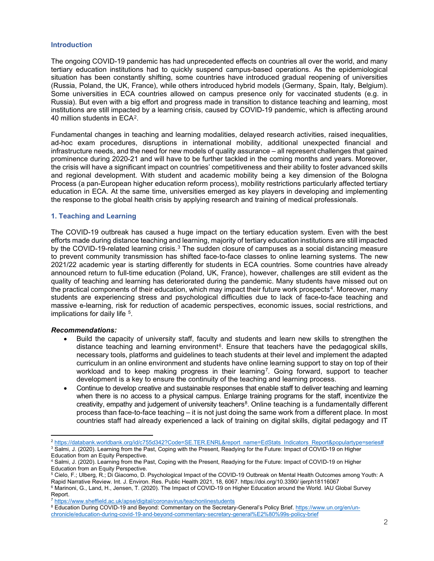## **Introduction**

The ongoing COVID-19 pandemic has had unprecedented effects on countries all over the world, and many tertiary education institutions had to quickly suspend campus-based operations. As the epidemiological situation has been constantly shifting, some countries have introduced gradual reopening of universities (Russia, Poland, the UK, France), while others introduced hybrid models (Germany, Spain, Italy, Belgium). Some universities in ECA countries allowed on campus presence only for vaccinated students (e.g. in Russia). But even with a big effort and progress made in transition to distance teaching and learning, most institutions are still impacted by a learning crisis, caused by COVID-19 pandemic, which is affecting around 40 million students in ECA[2.](#page-1-0)

Fundamental changes in teaching and learning modalities, delayed research activities, raised inequalities, ad-hoc exam procedures, disruptions in international mobility, additional unexpected financial and infrastructure needs, and the need for new models of quality assurance – all represent challenges that gained prominence during 2020-21 and will have to be further tackled in the coming months and years. Moreover, the crisis will have a significant impact on countries' competitiveness and their ability to foster advanced skills and regional development. With student and academic mobility being a key dimension of the Bologna Process (a pan-European higher education reform process), mobility restrictions particularly affected tertiary education in ECA. At the same time, universities emerged as key players in developing and implementing the response to the global health crisis by applying research and training of medical professionals.

## **1. Teaching and Learning**

The COVID-19 outbreak has caused a huge impact on the tertiary education system. Even with the best efforts made during distance teaching and learning, majority of tertiary education institutions are still impacted by the COVID-19-related learning crisis.<sup>[3](#page-1-1)</sup> The sudden closure of campuses as a social distancing measure to prevent community transmission has shifted face-to-face classes to online learning systems. The new 2021/22 academic year is starting differently for students in ECA countries. Some countries have already announced return to full-time education (Poland, UK, France), however, challenges are still evident as the quality of teaching and learning has deteriorated during the pandemic. Many students have missed out on the practical components of their education, which may impact their future work prospects<sup>4</sup>. Moreover, many students are experiencing stress and psychological difficulties due to lack of face-to-face teaching and massive e-learning, risk for reduction of academic perspectives, economic issues, social restrictions, and implications for daily life [5](#page-1-3).

- Build the capacity of university staff, faculty and students and learn new skills to strengthen the distance teaching and learning environment<sup>[6](#page-1-4)</sup>. Ensure that teachers have the pedagogical skills, necessary tools, platforms and guidelines to teach students at their level and implement the adapted curriculum in an online environment and students have online learning support to stay on top of their workload and to keep making progress in their learning<sup>[7](#page-1-5)</sup>. Going forward, support to teacher development is a key to ensure the continuity of the teaching and learning process.
- Continue to develop creative and sustainable responses that enable staff to deliver teaching and learning when there is no access to a physical campus. Enlarge training programs for the staff, incentivize the creativity, empathy and judgement of university teachers<sup>8</sup>. Online teaching is a fundamentally different process than face-to-face teaching – it is not just doing the same work from a different place. In most countries staff had already experienced a lack of training on digital skills, digital pedagogy and IT

<span id="page-1-0"></span><sup>&</sup>lt;sup>2</sup> [https://databank.worldbank.org/id/c755d342?Code=SE.TER.ENRL&report\\_name=EdStats\\_Indicators\\_Report&populartype=series#](https://databank.worldbank.org/id/c755d342?Code=SE.TER.ENRL&report_name=EdStats_Indicators_Report&populartype=series)

<span id="page-1-1"></span><sup>&</sup>lt;sup>3</sup> Salmi, J. (2020). Learning from the Past, Coping with the Present, Readying for the Future: Impact of COVID-19 on Higher Education from an Equity Perspective.

<span id="page-1-2"></span><sup>4</sup> Salmi, J. (2020). Learning from the Past, Coping with the Present, Readying for the Future: Impact of COVID-19 on Higher Education from an Equity Perspective.

<span id="page-1-3"></span><sup>5</sup> Cielo, F.; Ulberg, R.; Di Giacomo, D. Psychological Impact of the COVID-19 Outbreak on Mental Health Outcomes among Youth: A Rapid Narrative Review. Int. J. Environ. Res. Public Health 2021, 18, 6067. https://doi.org/10.3390/ ijerph18116067

<span id="page-1-4"></span><sup>6</sup> Marinoni, G., Land, H., Jensen, T. (2020). The Impact of COVID-19 on Higher Education around the World. IAU Global Survey Report.

<span id="page-1-5"></span><sup>7</sup> <https://www.sheffield.ac.uk/apse/digital/coronavirus/teachonlinestudents>

<span id="page-1-6"></span><sup>8</sup> Education During COVID-19 and Beyond: Commentary on the Secretary-General's Policy Brief. [https://www.un.org/en/un](https://www.un.org/en/un-chronicle/education-during-covid-19-and-beyond-commentary-secretary-general%E2%80%99s-policy-brief)[chronicle/education-during-covid-19-and-beyond-commentary-secretary-general%E2%80%99s-policy-brief](https://www.un.org/en/un-chronicle/education-during-covid-19-and-beyond-commentary-secretary-general%E2%80%99s-policy-brief)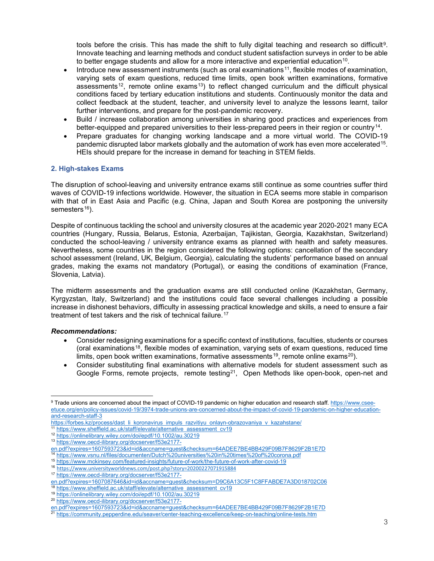tools before the crisis. This has made the shift to fully digital teaching and research so difficult<sup>9</sup>. Innovate teaching and learning methods and conduct student satisfaction surveys in order to be able to better engage students and allow for a more interactive and experiential education<sup>[10](#page-2-1)</sup>.

- Introduce new assessment instruments (such as oral examinations<sup>[11](#page-2-2)</sup>, flexible modes of examination, varying sets of exam questions, reduced time limits, open book written examinations, formative assessments<sup>[12](#page-2-3)</sup>, remote online exams<sup>13</sup>) to reflect changed curriculum and the difficult physical conditions faced by tertiary education institutions and students. Continuously monitor the data and collect feedback at the student, teacher, and university level to analyze the lessons learnt, tailor further interventions, and prepare for the post-pandemic recovery.
- Build / increase collaboration among universities in sharing good practices and experiences from better-equipped and prepared universities to their less-prepared peers in their region or country[14.](#page-2-5)
- Prepare graduates for changing working landscape and a more virtual world. The COVID-19 pandemic disrupted labor markets globally and the automation of work has even more accelerated[15](#page-2-6). HEIs should prepare for the increase in demand for teaching in STEM fields.

## **2. High-stakes Exams**

The disruption of school-leaving and university entrance exams still continue as some countries suffer third waves of COVID-19 infections worldwide. However, the situation in ECA seems more stable in comparison with that of in East Asia and Pacific (e.g. China, Japan and South Korea are postponing the university semesters $16$ ).

Despite of continuous tackling the school and university closures at the academic year 2020-2021 many ECA countries (Hungary, Russia, Belarus, Estonia, Azerbaijan, Tajikistan, Georgia, Kazakhstan, Switzerland) conducted the school-leaving / university entrance exams as planned with health and safety measures. Nevertheless, some countries in the region considered the following options: cancellation of the secondary school assessment (Ireland, UK, Belgium, Georgia), calculating the students' performance based on annual grades, making the exams not mandatory (Portugal), or easing the conditions of examination (France, Slovenia, Latvia).

The midterm assessments and the graduation exams are still conducted online (Kazakhstan, Germany, Kyrgyzstan, Italy, Switzerland) and the institutions could face several challenges including a possible increase in dishonest behaviors, difficulty in assessing practical knowledge and skills, a need to ensure a fair treatment of test takers and the risk of technical failure.<sup>[17](#page-2-8)</sup>

## *Recommendations:*

- Consider redesigning examinations for a specific context of institutions, faculties, students or courses (oral examinations<sup>[18](#page-2-9)</sup>, flexible modes of examination, varying sets of exam questions, reduced time limits, open book written examinations, formative assessments<sup>19</sup>, remote online exams<sup>[20](#page-2-11)</sup>).
- Consider substituting final examinations with alternative models for student assessment such as Google Forms, remote projects, remote testing<sup>[21](#page-2-12)</sup>, Open Methods like open-book, open-net and

<span id="page-2-2"></span>11 [https://www.sheffield.ac.uk/staff/elevate/alternative\\_assessment\\_cv19](https://www.sheffield.ac.uk/staff/elevate/alternative_assessment_cv19)

<span id="page-2-0"></span><sup>9</sup> Trade unions are concerned about the impact of COVID-19 pandemic on higher education and research staff[. https://www.csee](https://www.csee-etuce.org/en/policy-issues/covid-19/3974-trade-unions-are-concerned-about-the-impact-of-covid-19-pandemic-on-higher-education-and-research-staff-3)[etuce.org/en/policy-issues/covid-19/3974-trade-unions-are-concerned-about-the-impact-of-covid-19-pandemic-on-higher-education](https://www.csee-etuce.org/en/policy-issues/covid-19/3974-trade-unions-are-concerned-about-the-impact-of-covid-19-pandemic-on-higher-education-and-research-staff-3)[and-research-staff-3](https://www.csee-etuce.org/en/policy-issues/covid-19/3974-trade-unions-are-concerned-about-the-impact-of-covid-19-pandemic-on-higher-education-and-research-staff-3)

<span id="page-2-1"></span>[https://forbes.kz/process/dast\\_li\\_koronavirus\\_impuls\\_razvitiyu\\_onlayn-obrazovaniya\\_v\\_kazahstane/](https://forbes.kz/process/dast_li_koronavirus_impuls_razvitiyu_onlayn-obrazovaniya_v_kazahstane/)

<span id="page-2-3"></span><sup>12</sup> <https://onlinelibrary.wiley.com/doi/epdf/10.1002/au.30219>

<span id="page-2-4"></span><sup>13</sup> [https://www.oecd-ilibrary.org/docserver/f53e2177-](https://www.oecd-ilibrary.org/docserver/f53e2177-en.pdf?expires=1607593723&id=id&accname=guest&checksum=64ADEE7BE4BB429F09B7F8629F2B1E7D)

[en.pdf?expires=1607593723&id=id&accname=guest&checksum=64ADEE7BE4BB429F09B7F8629F2B1E7D](https://www.oecd-ilibrary.org/docserver/f53e2177-en.pdf?expires=1607593723&id=id&accname=guest&checksum=64ADEE7BE4BB429F09B7F8629F2B1E7D)

<span id="page-2-5"></span><sup>&</sup>lt;sup>14</sup> <https://www.vsnu.nl/files/documenten/Dutch%20universities%20in%20times%20of%20corona.pdf>

<span id="page-2-6"></span><sup>15</sup> https://www.mckinsey.com/featured-insights/future-of-work/the-future-of-work-after-covid-19

<span id="page-2-7"></span><sup>16</sup> https://www.universityworldnews.com/post.php?story=20200227071915884

<span id="page-2-8"></span><sup>17</sup> [https://www.oecd-ilibrary.org/docserver/f53e2177-](https://www.oecd-ilibrary.org/docserver/f53e2177-en.pdf?expires=1607087646&id=id&accname=guest&checksum=D9C6A13C5F1C8FFABDE7A3D018702C06)

[en.pdf?expires=1607087646&id=id&accname=guest&checksum=D9C6A13C5F1C8FFABDE7A3D018702C06](https://www.oecd-ilibrary.org/docserver/f53e2177-en.pdf?expires=1607087646&id=id&accname=guest&checksum=D9C6A13C5F1C8FFABDE7A3D018702C06)

<span id="page-2-9"></span><sup>18</sup> [https://www.sheffield.ac.uk/staff/elevate/alternative\\_assessment\\_cv19](https://www.sheffield.ac.uk/staff/elevate/alternative_assessment_cv19)

<sup>19</sup> <https://onlinelibrary.wiley.com/doi/epdf/10.1002/au.30219>

<span id="page-2-11"></span><span id="page-2-10"></span><sup>20</sup> [https://www.oecd-ilibrary.org/docserver/f53e2177-](https://www.oecd-ilibrary.org/docserver/f53e2177-en.pdf?expires=1607593723&id=id&accname=guest&checksum=64ADEE7BE4BB429F09B7F8629F2B1E7D)

[en.pdf?expires=1607593723&id=id&accname=guest&checksum=64ADEE7BE4BB429F09B7F8629F2B1E7D](https://www.oecd-ilibrary.org/docserver/f53e2177-en.pdf?expires=1607593723&id=id&accname=guest&checksum=64ADEE7BE4BB429F09B7F8629F2B1E7D)

<span id="page-2-12"></span><sup>&</sup>lt;sup>21</sup> <https://community.pepperdine.edu/seaver/center-teaching-excellence/keep-on-teaching/online-tests.htm>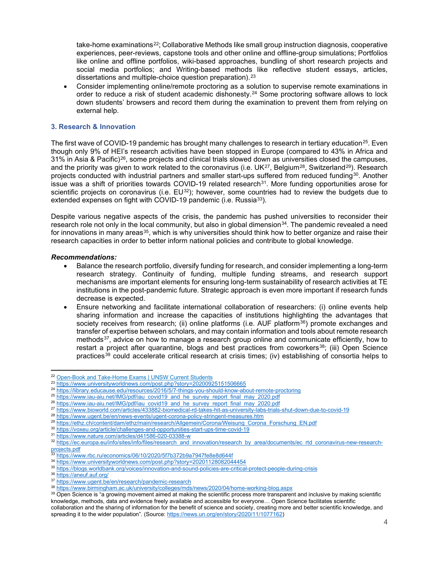take-home examinations<sup>[22](#page-3-0)</sup>; Collaborative Methods like small group instruction diagnosis, cooperative experiences, peer-reviews, capstone tools and other online and offline-group simulations; Portfolios like online and offline portfolios, wiki-based approaches, bundling of short research projects and social media portfolios; and Writing-based methods like reflective student essays, articles, dissertations and multiple-choice question preparation).<sup>[23](#page-3-1)</sup>

• Consider implementing online/remote proctoring as a solution to supervise remote examinations in order to reduce a risk of student academic dishonesty.[24](#page-3-2) Some proctoring software allows to lock down students' browsers and record them during the examination to prevent them from relying on external help.

## **3. Research & Innovation**

The first wave of COVID-19 pandemic has brought many challenges to research in tertiary education<sup>[25](#page-3-3)</sup>. Even though only 9% of HEI's research activities have been stopped in Europe (compared to 43% in Africa and  $31\%$  in Asia & Pacific)<sup>[26](#page-3-4)</sup>, some projects and clinical trials slowed down as universities closed the campuses, and the priority was given to work related to the coronavirus (i.e. UK<sup>27</sup>, Belgium<sup>[28](#page-3-6)</sup>, Switzerland<sup>[29](#page-3-7)</sup>). Research projects conducted with industrial partners and smaller start-ups suffered from reduced funding<sup>30</sup>. Another issue was a shift of priorities towards COVID-19 related research $31$ . More funding opportunities arose for scientific projects on coronavirus (i.e.  $EU^{32}$ ); however, some countries had to review the budgets due to extended expenses on fight with COVID-19 pandemic (i.e. Russia<sup>[33](#page-3-11)</sup>).

Despite various negative aspects of the crisis, the pandemic has pushed universities to reconsider their research role not only in the local community, but also in global dimension<sup>34</sup>. The pandemic revealed a need for innovations in many areas<sup>35</sup>, which is why universities should think how to better organize and raise their research capacities in order to better inform national policies and contribute to global knowledge.

- Balance the research portfolio, diversify funding for research, and consider implementing a long-term research strategy. Continuity of funding, multiple funding streams, and research support mechanisms are important elements for ensuring long-term sustainability of research activities at TE institutions in the post-pandemic future. Strategic approach is even more important if research funds decrease is expected.
- Ensure networking and facilitate international collaboration of researchers: (i) online events help sharing information and increase the capacities of institutions highlighting the advantages that society receives from research; (ii) online platforms (i.e. AUF platform<sup>[36](#page-3-14)</sup>) promote exchanges and transfer of expertise between scholars, and may contain information and tools about remote research methods<sup>[37](#page-3-15)</sup>, advice on how to manage a research group online and communicate efficiently, how to restart a project after quarantine, blogs and best practices from coworkers<sup>[38](#page-3-16)</sup>; (iii) Open Science practices[39](#page-3-17) could accelerate critical research at crisis times; (iv) establishing of consortia helps to

<sup>&</sup>lt;sup>22</sup> [Open-Book and Take-Home Exams | UNSW Current Students](https://student.unsw.edu.au/open-book-and-take-home-exams)

<span id="page-3-1"></span><span id="page-3-0"></span><sup>23</sup> <https://www.universityworldnews.com/post.php?story=20200925151506665>

<span id="page-3-2"></span><sup>24</sup> <https://library.educause.edu/resources/2016/5/7-things-you-should-know-about-remote-proctoring>

<span id="page-3-3"></span><sup>&</sup>lt;sup>25</sup> [https://www.iau-aiu.net/IMG/pdf/iau\\_covid19\\_and\\_he\\_survey\\_report\\_final\\_may\\_2020.pdf](https://www.iau-aiu.net/IMG/pdf/iau_covid19_and_he_survey_report_final_may_2020.pdf)

<sup>&</sup>lt;sup>26</sup> [https://www.iau-aiu.net/IMG/pdf/iau\\_covid19\\_and\\_he\\_survey\\_report\\_final\\_may\\_2020.pdf](https://www.iau-aiu.net/IMG/pdf/iau_covid19_and_he_survey_report_final_may_2020.pdf)

<span id="page-3-5"></span><span id="page-3-4"></span><sup>27</sup> <https://www.bioworld.com/articles/433882-biomedical-rd-takes-hit-as-university-labs-trials-shut-down-due-to-covid-19>

<span id="page-3-6"></span><sup>28</sup> <https://www.ugent.be/en/news-events/ugent-corona-policy-stringent-measures.htm>

<span id="page-3-7"></span><sup>29</sup> [https://ethz.ch/content/dam/ethz/main/research/Allgemein/Corona/Weisung\\_Corona\\_Forschung\\_EN.pdf](https://ethz.ch/content/dam/ethz/main/research/Allgemein/Corona/Weisung_Corona_Forschung_EN.pdf)

<span id="page-3-8"></span><sup>30</sup> <https://voxeu.org/article/challenges-and-opportunities-start-ups-time-covid-19>

<sup>31</sup> <https://www.nature.com/articles/d41586-020-03388-w>

<span id="page-3-10"></span><span id="page-3-9"></span><sup>32</sup> [https://ec.europa.eu/info/sites/info/files/research\\_and\\_innovation/research\\_by\\_area/documents/ec\\_rtd\\_coronavirus-new-research](https://ec.europa.eu/info/sites/info/files/research_and_innovation/research_by_area/documents/ec_rtd_coronavirus-new-research-projects.pdf)[projects.pdf](https://ec.europa.eu/info/sites/info/files/research_and_innovation/research_by_area/documents/ec_rtd_coronavirus-new-research-projects.pdf)<br>33 k<sup>H</sup>

<span id="page-3-11"></span><sup>33</sup> <https://www.rbc.ru/economics/06/10/2020/5f7b372b9a7947fe8e8d644f>

<span id="page-3-12"></span><sup>34</sup> <https://www.universityworldnews.com/post.php?story=20201128082044454>

<span id="page-3-13"></span><sup>35</sup> <https://blogs.worldbank.org/voices/innovation-and-sound-policies-are-critical-protect-people-during-crisis>

<span id="page-3-14"></span><sup>36</sup> <https://aneuf.auf.org/>

<span id="page-3-15"></span><sup>37</sup> <https://www.ugent.be/en/research/pandemic-research>

<span id="page-3-16"></span><sup>38</sup> <https://www.birmingham.ac.uk/university/colleges/mds/news/2020/04/home-working-blog.aspx>

<span id="page-3-17"></span><sup>39</sup> Open Science is "a growing movement aimed at making the scientific process more transparent and inclusive by making scientific knowledge, methods, data and evidence freely available and accessible for everyone… Open Science facilitates scientific collaboration and the sharing of information for the benefit of science and society, creating more and better scientific knowledge, and spreading it to the wider population". (Source[: https://news.un.org/en/story/2020/11/1077162\)](https://news.un.org/en/story/2020/11/1077162)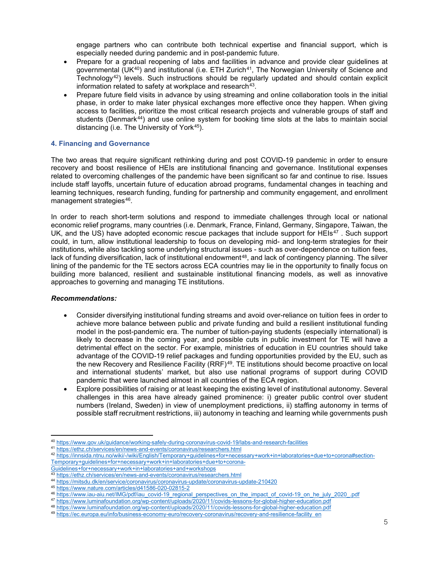engage partners who can contribute both technical expertise and financial support, which is especially needed during pandemic and in post-pandemic future.

- Prepare for a gradual reopening of labs and facilities in advance and provide clear guidelines at governmental (UK<sup>40</sup>) and institutional (i.e. ETH Zurich<sup>[41](#page-4-1)</sup>, The Norwegian University of Science and Technology<sup>[42](#page-4-2)</sup>) levels. Such instructions should be regularly updated and should contain explicit information related to safety at workplace and research<sup>[43](#page-4-3)</sup>.
- Prepare future field visits in advance by using streaming and online collaboration tools in the initial phase, in order to make later physical exchanges more effective once they happen. When giving access to facilities, prioritize the most critical research projects and vulnerable groups of staff and students (Denmark<sup>[44](#page-4-4)</sup>) and use online system for booking time slots at the labs to maintain social distancing (i.e. The University of York<sup>[45](#page-4-5)</sup>).

## **4. Financing and Governance**

The two areas that require significant rethinking during and post COVID-19 pandemic in order to ensure recovery and boost resilience of HEIs are institutional financing and governance. Institutional expenses related to overcoming challenges of the pandemic have been significant so far and continue to rise. Issues include staff layoffs, uncertain future of education abroad programs, fundamental changes in teaching and learning techniques, research funding, funding for partnership and community engagement, and enrollment management strategies<sup>[46](#page-4-6)</sup>.

In order to reach short-term solutions and respond to immediate challenges through local or national economic relief programs, many countries (i.e. Denmark, France, Finland, Germany, Singapore, Taiwan, the UK, and the US) have adopted economic rescue packages that include support for HEIs $47$ . Such support could, in turn, allow institutional leadership to focus on developing mid- and long-term strategies for their institutions, while also tackling some underlying structural issues - such as over-dependence on tuition fees, lack of funding diversification, lack of institutional endowment<sup>[48](#page-4-8)</sup>, and lack of contingency planning. The silver lining of the pandemic for the TE sectors across ECA countries may lie in the opportunity to finally focus on building more balanced, resilient and sustainable institutional financing models, as well as innovative approaches to governing and managing TE institutions.

- Consider diversifying institutional funding streams and avoid over-reliance on tuition fees in order to achieve more balance between public and private funding and build a resilient institutional funding model in the post-pandemic era. The number of tuition-paying students (especially international) is likely to decrease in the coming year, and possible cuts in public investment for TE will have a detrimental effect on the sector. For example, ministries of education in EU countries should take advantage of the COVID-19 relief packages and funding opportunities provided by the EU, such as the new Recovery and Resilience Facility (RRF)[49.](#page-4-9) TE institutions should become proactive on local and international students' market, but also use national programs of support during COVID pandemic that were launched almost in all countries of the ECA region.
- Explore possibilities of raising or at least keeping the existing level of institutional autonomy. Several challenges in this area have already gained prominence: i) greater public control over student numbers (Ireland, Sweden) in view of unemployment predictions, ii) staffing autonomy in terms of possible staff recruitment restrictions, iii) autonomy in teaching and learning while governments push

<sup>40</sup> <https://www.gov.uk/guidance/working-safely-during-coronavirus-covid-19/labs-and-research-facilities>

<span id="page-4-1"></span><span id="page-4-0"></span><sup>41</sup> <https://ethz.ch/services/en/news-and-events/coronavirus/researchers.html>

<span id="page-4-2"></span><sup>42</sup> [https://innsida.ntnu.no/wiki/-/wiki/English/Temporary+guidelines+for+necessary+work+in+laboratories+due+to+corona#section-](https://innsida.ntnu.no/wiki/-/wiki/English/Temporary+guidelines+for+necessary+work+in+laboratories+due+to+corona#section-Temporary+guidelines+for+necessary+work+in+laboratories+due+to+corona-Guidelines+for+necessary+work+in+laboratories+and+workshops)[Temporary+guidelines+for+necessary+work+in+laboratories+due+to+corona-](https://innsida.ntnu.no/wiki/-/wiki/English/Temporary+guidelines+for+necessary+work+in+laboratories+due+to+corona#section-Temporary+guidelines+for+necessary+work+in+laboratories+due+to+corona-Guidelines+for+necessary+work+in+laboratories+and+workshops)

[Guidelines+for+necessary+work+in+laboratories+and+workshops](https://innsida.ntnu.no/wiki/-/wiki/English/Temporary+guidelines+for+necessary+work+in+laboratories+due+to+corona#section-Temporary+guidelines+for+necessary+work+in+laboratories+due+to+corona-Guidelines+for+necessary+work+in+laboratories+and+workshops)<br>43 https://other.ch/construct/work+in+laboratories+and+workshops

<sup>43</sup> <https://ethz.ch/services/en/news-and-events/coronavirus/researchers.html>

<span id="page-4-4"></span><span id="page-4-3"></span><sup>44</sup> <https://mitsdu.dk/en/service/coronavirus/coronavirus-update/coronavirus-update-210420>

<span id="page-4-6"></span><span id="page-4-5"></span><sup>45</sup> <https://www.nature.com/articles/d41586-020-02815-2>

<sup>46</sup> [https://www.iau-aiu.net/IMG/pdf/iau\\_covid-19\\_regional\\_perspectives\\_on\\_the\\_impact\\_of\\_covid-19\\_on\\_he\\_july\\_2020\\_.pdf](https://www.iau-aiu.net/IMG/pdf/iau_covid-19_regional_perspectives_on_the_impact_of_covid-19_on_he_july_2020_.pdf)

<span id="page-4-8"></span><span id="page-4-7"></span><sup>47</sup> <https://www.luminafoundation.org/wp-content/uploads/2020/11/covids-lessons-for-global-higher-education.pdf>

<sup>48</sup> <https://www.luminafoundation.org/wp-content/uploads/2020/11/covids-lessons-for-global-higher-education.pdf>

<span id="page-4-9"></span><sup>49</sup> [https://ec.europa.eu/info/business-economy-euro/recovery-coronavirus/recovery-and-resilience-facility\\_en](https://ec.europa.eu/info/business-economy-euro/recovery-coronavirus/recovery-and-resilience-facility_en)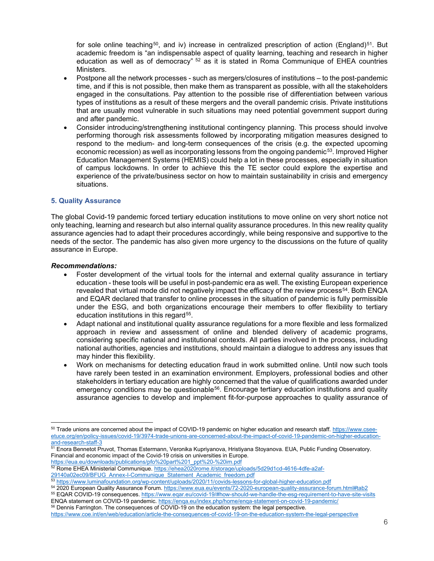for sole online teaching<sup>[50](#page-5-0)</sup>, and iv) increase in centralized prescription of action (England)<sup>[51](#page-5-1)</sup>. But academic freedom is "an indispensable aspect of quality learning, teaching and research in higher education as well as of democracy" [52](#page-5-2) as it is stated in Roma Communique of EHEA countries Ministers.

- Postpone all the network processes such as mergers/closures of institutions to the post-pandemic time, and if this is not possible, then make them as transparent as possible, with all the stakeholders engaged in the consultations. Pay attention to the possible rise of differentiation between various types of institutions as a result of these mergers and the overall pandemic crisis. Private institutions that are usually most vulnerable in such situations may need potential government support during and after pandemic.
- Consider introducing/strengthening institutional contingency planning. This process should involve performing thorough risk assessments followed by incorporating mitigation measures designed to respond to the medium- and long-term consequences of the crisis (e.g. the expected upcoming economic recession) as well as incorporating lessons from the ongoing pandemic<sup>53</sup>. Improved Higher Education Management Systems (HEMIS) could help a lot in these processes, especially in situation of campus lockdowns. In order to achieve this the TE sector could explore the expertise and experience of the private/business sector on how to maintain sustainability in crisis and emergency situations.

## **5. Quality Assurance**

The global Covid-19 pandemic forced tertiary education institutions to move online on very short notice not only teaching, learning and research but also internal quality assurance procedures. In this new reality quality assurance agencies had to adapt their procedures accordingly, while being responsive and supportive to the needs of the sector. The pandemic has also given more urgency to the discussions on the future of quality assurance in Europe.

#### *Recommendations:*

- Foster development of the virtual tools for the internal and external quality assurance in tertiary education - these tools will be useful in post-pandemic era as well. The existing European experience revealed that virtual mode did not negatively impact the efficacy of the review process<sup>54</sup>. Both ENQA and EQAR declared that transfer to online processes in the situation of pandemic is fully permissible under the ESG, and both organizations encourage their members to offer flexibility to tertiary education institutions in this regard<sup>55</sup>.
- Adapt national and institutional quality assurance regulations for a more flexible and less formalized approach in review and assessment of online and blended delivery of academic programs, considering specific national and institutional contexts. All parties involved in the process, including national authorities, agencies and institutions, should maintain a dialogue to address any issues that may hinder this flexibility.
- Work on mechanisms for detecting education fraud in work submitted online. Until now such tools have rarely been tested in an examination environment. Employers, professional bodies and other stakeholders in tertiary education are highly concerned that the value of qualifications awarded under emergency conditions may be questionable<sup>56</sup>. Encourage tertiary education institutions and quality assurance agencies to develop and implement fit-for-purpose approaches to quality assurance of

<span id="page-5-6"></span><sup>56</sup> Dennis Farrington. The consequences of COVID-19 on the education system: the legal perspective.

<span id="page-5-0"></span><sup>50</sup> Trade unions are concerned about the impact of COVID-19 pandemic on higher education and research staff[. https://www.csee](https://www.csee-etuce.org/en/policy-issues/covid-19/3974-trade-unions-are-concerned-about-the-impact-of-covid-19-pandemic-on-higher-education-and-research-staff-3)[etuce.org/en/policy-issues/covid-19/3974-trade-unions-are-concerned-about-the-impact-of-covid-19-pandemic-on-higher-education](https://www.csee-etuce.org/en/policy-issues/covid-19/3974-trade-unions-are-concerned-about-the-impact-of-covid-19-pandemic-on-higher-education-and-research-staff-3)[and-research-staff-3](https://www.csee-etuce.org/en/policy-issues/covid-19/3974-trade-unions-are-concerned-about-the-impact-of-covid-19-pandemic-on-higher-education-and-research-staff-3)

<span id="page-5-1"></span><sup>&</sup>lt;sup>51</sup> Enora Bennetot Pruvot, Thomas Estermann, Veronika Kupriyanova, Hristiyana Stoyanova. EUA, Public Funding Observatory. Financial and economic impact of the Covid-19 crisis on universities in Europe.

[https://eua.eu/downloads/publications/pfo%20part%201\\_ppt%20-%20im.pdf](https://eua.eu/downloads/publications/pfo%20part%201_ppt%20-%20im.pdf)

Rome EHEA Ministerial Communique[. https://ehea2020rome.it/storage/uploads/5d29d1cd-4616-4dfe-a2af-](https://ehea2020rome.it/storage/uploads/5d29d1cd-4616-4dfe-a2af-29140a02ec09/BFUG_Annex-I-Communique_Statement_Academic_freedom.pdf)

<span id="page-5-3"></span><span id="page-5-2"></span>[<sup>29140</sup>a02ec09/BFUG\\_Annex-I-Communique\\_Statement\\_Academic\\_freedom.pdf](https://ehea2020rome.it/storage/uploads/5d29d1cd-4616-4dfe-a2af-29140a02ec09/BFUG_Annex-I-Communique_Statement_Academic_freedom.pdf)

<sup>53</sup> <https://www.luminafoundation.org/wp-content/uploads/2020/11/covids-lessons-for-global-higher-education.pdf>

<span id="page-5-5"></span><span id="page-5-4"></span><sup>54 2020</sup> European Quality Assurance Forum[. https://www.eua.eu/events/72-2020-european-quality-assurance-forum.html#tab2](https://www.eua.eu/events/72-2020-european-quality-assurance-forum.html#tab2) <sup>55</sup> EQAR COVID-19 consequences.<https://www.eqar.eu/covid-19/#how-should-we-handle-the-esg-requirement-to-have-site-visits> ENQA statement on COVID-19 pandemic[. https://enqa.eu/index.php/home/enqa-statement-on-covid-19-pandemic/](https://enqa.eu/index.php/home/enqa-statement-on-covid-19-pandemic/)

<https://www.coe.int/en/web/education/article-the-consequences-of-covid-19-on-the-education-system-the-legal-perspective>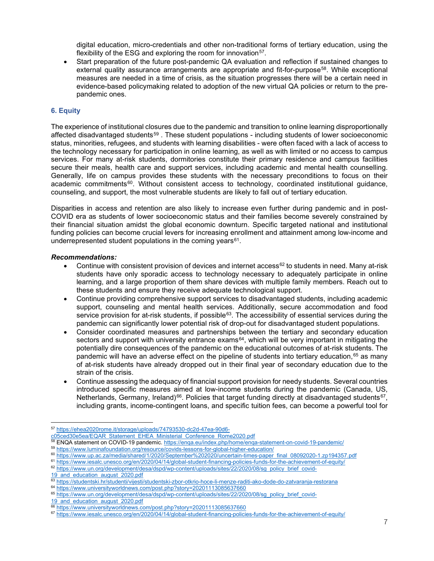digital education, micro-credentials and other non-traditional forms of tertiary education, using the flexibility of the ESG and exploring the room for innovation<sup>[57](#page-6-0)</sup>.

• Start preparation of the future post-pandemic QA evaluation and reflection if sustained changes to external quality assurance arrangements are appropriate and fit-for-purpose<sup>58</sup>. While exceptional measures are needed in a time of crisis, as the situation progresses there will be a certain need in evidence-based policymaking related to adoption of the new virtual QA policies or return to the prepandemic ones.

## **6. Equity**

The experience of institutional closures due to the pandemic and transition to online learning disproportionally affected disadvantaged students<sup>[59](#page-6-2)</sup>. These student populations - including students of lower socioeconomic status, minorities, refugees, and students with learning disabilities - were often faced with a lack of access to the technology necessary for participation in online learning, as well as with limited or no access to campus services. For many at-risk students, dormitories constitute their primary residence and campus facilities secure their meals, health care and support services, including academic and mental health counselling. Generally, life on campus provides these students with the necessary preconditions to focus on their academic commitments $60$ . Without consistent access to technology, coordinated institutional guidance, counseling, and support, the most vulnerable students are likely to fall out of tertiary education.

Disparities in access and retention are also likely to increase even further during pandemic and in post-COVID era as students of lower socioeconomic status and their families become severely constrained by their financial situation amidst the global economic downturn. Specific targeted national and institutional funding policies can become crucial levers for increasing enrollment and attainment among low-income and underrepresented student populations in the coming years $61$ .

#### *Recommendations:*

- Continue with consistent provision of devices and internet access $62$  to students in need. Many at-risk students have only sporadic access to technology necessary to adequately participate in online learning, and a large proportion of them share devices with multiple family members. Reach out to these students and ensure they receive adequate technological support.
- Continue providing comprehensive support services to disadvantaged students, including academic support, counseling and mental health services. Additionally, secure accommodation and food service provision for at-risk students, if possible<sup>63</sup>. The accessibility of essential services during the pandemic can significantly lower potential risk of drop-out for disadvantaged student populations.
- Consider coordinated measures and partnerships between the tertiary and secondary education sectors and support with university entrance exams<sup>64</sup>, which will be very important in mitigating the potentially dire consequences of the pandemic on the educational outcomes of at-risk students. The pandemic will have an adverse effect on the pipeline of students into tertiary education, [65](#page-6-8) as many of at-risk students have already dropped out in their final year of secondary education due to the strain of the crisis.
- Continue assessing the adequacy of financial support provision for needy students. Several countries introduced specific measures aimed at low-income students during the pandemic (Canada, US, Netherlands, Germany, Ireland)<sup>[66](#page-6-9)</sup>. Policies that target funding directly at disadvantaged students<sup>[67](#page-6-10)</sup>, including grants, income-contingent loans, and specific tuition fees, can become a powerful tool for

<span id="page-6-2"></span><span id="page-6-1"></span><sup>59</sup> <https://www.luminafoundation.org/resource/covids-lessons-for-global-higher-education/>

<span id="page-6-0"></span><sup>57</sup> [https://ehea2020rome.it/storage/uploads/74793530-dc2d-47ea-90d6-](https://ehea2020rome.it/storage/uploads/74793530-dc2d-47ea-90d6-c05ced30e5ea/EQAR_Statement_EHEA_Ministerial_Conference_Rome2020.pdf)

[c05ced30e5ea/EQAR\\_Statement\\_EHEA\\_Ministerial\\_Conference\\_Rome2020.pdf](https://ehea2020rome.it/storage/uploads/74793530-dc2d-47ea-90d6-c05ced30e5ea/EQAR_Statement_EHEA_Ministerial_Conference_Rome2020.pdf)

<sup>58</sup> ENQA statement on COVID-19 pandemic[. https://enqa.eu/index.php/home/enqa-statement-on-covid-19-pandemic/](https://enqa.eu/index.php/home/enqa-statement-on-covid-19-pandemic/)

<span id="page-6-3"></span><sup>60</sup> [https://www.up.ac.za/media/shared/1/2020/September%202020/uncertain-times-paper\\_final\\_08092020-1.zp194357.pdf](https://www.up.ac.za/media/shared/1/2020/September%202020/uncertain-times-paper_final_08092020-1.zp194357.pdf)

<span id="page-6-5"></span><span id="page-6-4"></span><sup>61</sup> <https://www.iesalc.unesco.org/en/2020/04/14/global-student-financing-policies-funds-for-the-achievement-of-equity/>

<sup>62</sup> [https://www.un.org/development/desa/dspd/wp-content/uploads/sites/22/2020/08/sg\\_policy\\_brief\\_covid-](https://www.un.org/development/desa/dspd/wp-content/uploads/sites/22/2020/08/sg_policy_brief_covid-19_and_education_august_2020.pdf)

<sup>19</sup> and education august 2020.pdf

<span id="page-6-7"></span><span id="page-6-6"></span><sup>63</sup> <https://studentski.hr/studenti/vijesti/studentski-zbor-otkrio-hoce-li-menze-raditi-ako-dode-do-zatvaranja-restorana>

<sup>&</sup>lt;sup>64</sup> <https://www.universityworldnews.com/post.php?story=20201113085637660> <sup>65</sup> <u>https://www.un.org/development/desa/dspd/wp-content/uploads/sites/22/2020/08/sg\_policy\_brief\_covid-</u>

<span id="page-6-8"></span><sup>19</sup> and education august 2020.pdf

<span id="page-6-9"></span><sup>66</sup> <https://www.universityworldnews.com/post.php?story=20201113085637660>

<span id="page-6-10"></span><sup>67</sup> <https://www.iesalc.unesco.org/en/2020/04/14/global-student-financing-policies-funds-for-the-achievement-of-equity/>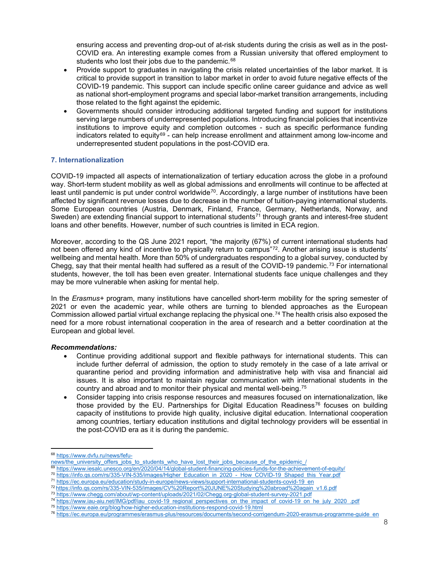ensuring access and preventing drop-out of at-risk students during the crisis as well as in the post-COVID era. An interesting example comes from a Russian university that offered employment to students who lost their jobs due to the pandemic.<sup>[68](#page-7-0)</sup>

- Provide support to graduates in navigating the crisis related uncertainties of the labor market. It is critical to provide support in transition to labor market in order to avoid future negative effects of the COVID-19 pandemic. This support can include specific online career guidance and advice as well as national short-employment programs and special labor-market transition arrangements, including those related to the fight against the epidemic.
- Governments should consider introducing additional targeted funding and support for institutions serving large numbers of underrepresented populations. Introducing financial policies that incentivize institutions to improve equity and completion outcomes - such as specific performance funding indicators related to equity $69$  - can help increase enrollment and attainment among low-income and underrepresented student populations in the post-COVID era.

## **7. Internationalization**

COVID-19 impacted all aspects of internationalization of tertiary education across the globe in a profound way. Short-term student mobility as well as global admissions and enrollments will continue to be affected at least until pandemic is put under control worldwide<sup>70</sup>. Accordingly, a large number of institutions have been affected by significant revenue losses due to decrease in the number of tuition-paying international students. Some European countries (Austria, Denmark, Finland, France, Germany, Netherlands, Norway, and Sweden) are extending financial support to international students<sup>[71](#page-7-3)</sup> through grants and interest-free student loans and other benefits. However, number of such countries is limited in ECA region.

Moreover, according to the QS June 2021 report, "the majority (67%) of current international students had not been offered any kind of incentive to physically return to campus"[72](#page-7-4). Another arising issue is students' wellbeing and mental health. More than 50% of undergraduates responding to a global survey, conducted by Chegg, say that their mental health had suffered as a result of the COVID-19 pandemic.<sup>[73](#page-7-5)</sup> For international students, however, the toll has been even greater. International students face unique challenges and they may be more vulnerable when asking for mental help.

In the *Erasmus+* program, many institutions have cancelled short-term mobility for the spring semester of 2021 or even the academic year, while others are turning to blended approaches as the European Commission allowed partial virtual exchange replacing the physical one.[74](#page-7-6) The health crisis also exposed the need for a more robust international cooperation in the area of research and a better coordination at the European and global level.

- Continue providing additional support and flexible pathways for international students. This can include further deferral of admission, the option to study remotely in the case of a late arrival or quarantine period and providing information and administrative help with visa and financial aid issues. It is also important to maintain regular communication with international students in the country and abroad and to monitor their physical and mental well-being.[75](#page-7-7)
- Consider tapping into crisis response resources and measures focused on internationalization, like those provided by the EU. Partnerships for Digital Education Readiness<sup>[76](#page-7-8)</sup> focuses on building capacity of institutions to provide high quality, inclusive digital education. International cooperation among countries, tertiary education institutions and digital technology providers will be essential in the post-COVID era as it is during the pandemic.

<span id="page-7-0"></span><sup>68</sup> [https://www.dvfu.ru/news/fefu-](https://www.dvfu.ru/news/fefu-news/the_university_offers_jobs_to_students_who_have_lost_their_jobs_because_of_the_epidemic_/)

[news/the\\_university\\_offers\\_jobs\\_to\\_students\\_who\\_have\\_lost\\_their\\_jobs\\_because\\_of\\_the\\_epidemic\\_/](https://www.dvfu.ru/news/fefu-news/the_university_offers_jobs_to_students_who_have_lost_their_jobs_because_of_the_epidemic_/)

<https://www.iesalc.unesco.org/en/2020/04/14/global-student-financing-policies-funds-for-the-achievement-of-equity/>

<span id="page-7-2"></span><span id="page-7-1"></span><sup>&</sup>lt;sup>70</sup> [https://info.qs.com/rs/335-VIN-535/images/Higher\\_Education\\_in\\_2020\\_-\\_How\\_COVID-19\\_Shaped\\_this\\_Year.pdf](https://info.qs.com/rs/335-VIN-535/images/Higher_Education_in_2020_-_How_COVID-19_Shaped_this_Year.pdf)

<sup>71</sup> https://ec.europa.eu/education/study-in-europe/news-views/support-international-students-covid-19\_en

<span id="page-7-5"></span><span id="page-7-4"></span><span id="page-7-3"></span><sup>72</sup> https://info.qs.com/rs/335-VIN-535/images/CV%20Report%20JUNE%20Studying%20abroad%20again\_v1.6.pdf

<sup>73</sup> https://www.chegg.com/about/wp-content/uploads/2021/02/Chegg.org-global-student-survey-2021.pdf

<span id="page-7-6"></span><sup>&</sup>lt;sup>74</sup> https://www.iau-aiu.net/IMG/pdf/iau covid-19 regional perspectives on the impact of covid-19 on he july 2020 pdf

<span id="page-7-8"></span><span id="page-7-7"></span><sup>75</sup> <https://www.eaie.org/blog/how-higher-education-institutions-respond-covid-19.html>

<sup>76</sup> [https://ec.europa.eu/programmes/erasmus-plus/resources/documents/second-corrigendum-2020-erasmus-programme-guide\\_en](https://ec.europa.eu/programmes/erasmus-plus/resources/documents/second-corrigendum-2020-erasmus-programme-guide_en)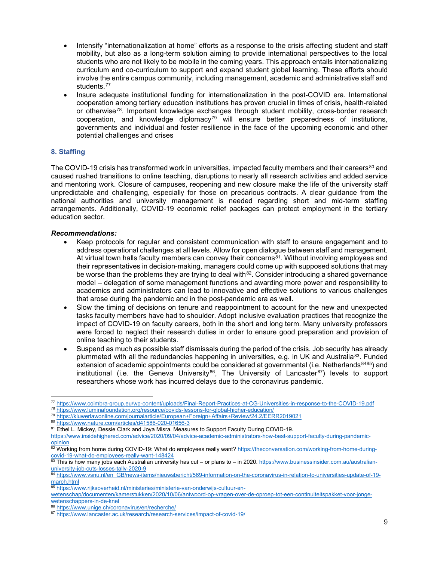- Intensify "internationalization at home" efforts as a response to the crisis affecting student and staff mobility, but also as a long-term solution aiming to provide international perspectives to the local students who are not likely to be mobile in the coming years. This approach entails internationalizing curriculum and co-curriculum to support and expand student global learning. These efforts should involve the entire campus community, including management, academic and administrative staff and students.[77](#page-8-0)
- Insure adequate institutional funding for internationalization in the post-COVID era. International cooperation among tertiary education institutions has proven crucial in times of crisis, health-related or otherwise[78.](#page-8-1) Important knowledge exchanges through student mobility, cross-border research cooperation, and knowledge diplomacy<sup>[79](#page-8-2)</sup> will ensure better preparedness of institutions, governments and individual and foster resilience in the face of the upcoming economic and other potential challenges and crises

# **8. Staffing**

The COVID-19 crisis has transformed work in universities, impacted faculty members and their careers<sup>[80](#page-8-3)</sup> and caused rushed transitions to online teaching, disruptions to nearly all research activities and added service and mentoring work. Closure of campuses, reopening and new closure make the life of the university staff unpredictable and challenging, especially for those on precarious contracts. A clear guidance from the national authorities and university management is needed regarding short and mid-term staffing arrangements. Additionally, COVID-19 economic relief packages can protect employment in the tertiary education sector.

- Keep protocols for regular and consistent communication with staff to ensure engagement and to address operational challenges at all levels. Allow for open dialogue between staff and management. At virtual town halls faculty members can convey their concerns<sup>81</sup>. Without involving employees and their representatives in decision-making, managers could come up with supposed solutions that may be worse than the problems they are trying to deal with $82$ . Consider introducing a shared governance model – delegation of some management functions and awarding more power and responsibility to academics and administrators can lead to innovative and effective solutions to various challenges that arose during the pandemic and in the post-pandemic era as well.
- Slow the timing of decisions on tenure and reappointment to account for the new and unexpected tasks faculty members have had to shoulder. Adopt inclusive evaluation practices that recognize the impact of COVID-19 on faculty careers, both in the short and long term. Many university professors were forced to neglect their research duties in order to ensure good preparation and provision of online teaching to their students.
- Suspend as much as possible staff dismissals during the period of the crisis. Job security has already plummeted with all the redundancies happening in universities, e.g. in UK and Australia<sup>[83](#page-8-6)</sup>. Funded extension of academic appointments could be considered at governmental (i.e. Netherlands  $8485$  $8485$ ) and institutional (i.e. the Geneva University<sup>[86](#page-8-9)</sup>, The University of Lancaster<sup>[87](#page-8-10)</sup>) levels to support researchers whose work has incurred delays due to the coronavirus pandemic.

<span id="page-8-1"></span><span id="page-8-0"></span><sup>77</sup> <https://www.coimbra-group.eu/wp-content/uploads/Final-Report-Practices-at-CG-Universities-in-response-to-the-COVID-19.pdf>

<sup>78</sup> <https://www.luminafoundation.org/resource/covids-lessons-for-global-higher-education/>

<span id="page-8-2"></span><sup>79</sup> <https://kluwerlawonline.com/journalarticle/European+Foreign+Affairs+Review/24.2/EERR2019021>

<span id="page-8-3"></span><sup>80</sup> <https://www.nature.com/articles/d41586-020-01656-3>

<span id="page-8-4"></span><sup>81</sup> Ethel L. Mickey, Dessie Clark and Joya Misra. Measures to Support Faculty During COVID-19.

[https://www.insidehighered.com/advice/2020/09/04/advice-academic-administrators-how-best-support-faculty-during-pandemic](https://www.insidehighered.com/advice/2020/09/04/advice-academic-administrators-how-best-support-faculty-during-pandemic-opinion)[opinion](https://www.insidehighered.com/advice/2020/09/04/advice-academic-administrators-how-best-support-faculty-during-pandemic-opinion)

<span id="page-8-5"></span><sup>&</sup>lt;sup>82</sup> Working from home during COVID-19: What do employees really want? <u>https://theconversation.com/working-from-home-during-</u> [covid-19-what-do-employees-really-want-148424](https://theconversation.com/working-from-home-during-covid-19-what-do-employees-really-want-148424)

<span id="page-8-6"></span><sup>83</sup> This is how many jobs each Australian university has cut – or plans to – in 2020[. https://www.businessinsider.com.au/australian](https://www.businessinsider.com.au/australian-university-job-cuts-losses-tally-2020-9)[university-job-cuts-losses-tally-2020-9](https://www.businessinsider.com.au/australian-university-job-cuts-losses-tally-2020-9)

<span id="page-8-7"></span>[https://www.vsnu.nl/en\\_GB/news-items/nieuwsbericht/569-information-on-the-coronavirus-in-relation-to-universities-update-of-19](https://www.vsnu.nl/en_GB/news-items/nieuwsbericht/569-information-on-the-coronavirus-in-relation-to-universities-update-of-19-march.html) [march.html](https://www.vsnu.nl/en_GB/news-items/nieuwsbericht/569-information-on-the-coronavirus-in-relation-to-universities-update-of-19-march.html)

<span id="page-8-8"></span><sup>85</sup> [https://www.rijksoverheid.nl/ministeries/ministerie-van-onderwijs-cultuur-en-](https://www.rijksoverheid.nl/ministeries/ministerie-van-onderwijs-cultuur-en-wetenschap/documenten/kamerstukken/2020/10/06/antwoord-op-vragen-over-de-oproep-tot-een-continuiteitspakket-voor-jonge-wetenschappers-in-de-knel)

[wetenschap/documenten/kamerstukken/2020/10/06/antwoord-op-vragen-over-de-oproep-tot-een-continuiteitspakket-voor-jonge](https://www.rijksoverheid.nl/ministeries/ministerie-van-onderwijs-cultuur-en-wetenschap/documenten/kamerstukken/2020/10/06/antwoord-op-vragen-over-de-oproep-tot-een-continuiteitspakket-voor-jonge-wetenschappers-in-de-knel)[wetenschappers-in-de-knel](https://www.rijksoverheid.nl/ministeries/ministerie-van-onderwijs-cultuur-en-wetenschap/documenten/kamerstukken/2020/10/06/antwoord-op-vragen-over-de-oproep-tot-een-continuiteitspakket-voor-jonge-wetenschappers-in-de-knel)

<sup>86</sup> <https://www.unige.ch/coronavirus/en/recherche/>

<span id="page-8-10"></span><span id="page-8-9"></span><sup>87</sup> <https://www.lancaster.ac.uk/research/research-services/impact-of-covid-19/>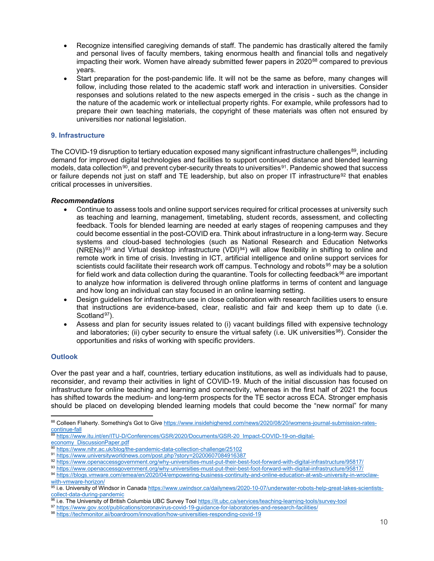- Recognize intensified caregiving demands of staff. The pandemic has drastically altered the family and personal lives of faculty members, taking enormous health and financial tolls and negatively impacting their work. Women have already submitted fewer papers in 2020<sup>[88](#page-9-0)</sup> compared to previous years.
- Start preparation for the post-pandemic life. It will not be the same as before, many changes will follow, including those related to the academic staff work and interaction in universities. Consider responses and solutions related to the new aspects emerged in the crisis - such as the change in the nature of the academic work or intellectual property rights. For example, while professors had to prepare their own teaching materials, the copyright of these materials was often not ensured by universities nor national legislation.

## **9. Infrastructure**

The COVID-19 disruption to tertiary education exposed many significant infrastructure challenges<sup>89</sup>, including demand for improved digital technologies and facilities to support continued distance and blended learning models, data collection<sup>[90](#page-9-2)</sup>, and prevent cyber-security threats to universities<sup>[91](#page-9-3)</sup>. Pandemic showed that success or failure depends not just on staff and TE leadership, but also on proper IT infrastructure<sup>[92](#page-9-4)</sup> that enables critical processes in universities.

## *Recommendations*

- Continue to assess tools and online support services required for critical processes at university such as teaching and learning, management, timetabling, student records, assessment, and collecting feedback. Tools for blended learning are needed at early stages of reopening campuses and they could become essential in the post-COVID era. Think about infrastructure in a long-term way. Secure systems and cloud-based technologies (such as National Research and Education Networks (NRENs)[93](#page-9-5) and Virtual desktop infrastructure (VDI)[94\)](#page-9-6) will allow flexibility in shifting to online and remote work in time of crisis. Investing in ICT, artificial intelligence and online support services for scientists could facilitate their research work off campus. Technology and robots<sup>[95](#page-9-7)</sup> may be a solution for field work and data collection during the quarantine. Tools for collecting feedback $96$  are important to analyze how information is delivered through online platforms in terms of content and language and how long an individual can stay focused in an online learning setting.
- Design guidelines for infrastructure use in close collaboration with research facilities users to ensure that instructions are evidence-based, clear, realistic and fair and keep them up to date (i.e. Scotland<sup>97</sup>).
- Assess and plan for security issues related to (i) vacant buildings filled with expensive technology and laboratories; (ii) cyber security to ensure the virtual safety (i.e. UK universities<sup>98</sup>). Consider the opportunities and risks of working with specific providers.

# **Outlook**

Over the past year and a half, countries, tertiary education institutions, as well as individuals had to pause, reconsider, and revamp their activities in light of COVID-19. Much of the initial discussion has focused on infrastructure for online teaching and learning and connectivity, whereas in the first half of 2021 the focus has shifted towards the medium- and long-term prospects for the TE sector across ECA. Stronger emphasis should be placed on developing blended learning models that could become the "new normal" for many

<span id="page-9-1"></span>[economy\\_DiscussionPaper.pdf](https://www.itu.int/en/ITU-D/Conferences/GSR/2020/Documents/GSR-20_Impact-COVID-19-on-digital-economy_DiscussionPaper.pdf)

<span id="page-9-0"></span><sup>88</sup> Colleen Flaherty. Something's Got to Give [https://www.insidehighered.com/news/2020/08/20/womens-journal-submission-rates](https://www.insidehighered.com/news/2020/08/20/womens-journal-submission-rates-continue-fall)[continue-fall](https://www.insidehighered.com/news/2020/08/20/womens-journal-submission-rates-continue-fall)

<sup>89</sup> [https://www.itu.int/en/ITU-D/Conferences/GSR/2020/Documents/GSR-20\\_Impact-COVID-19-on-digital-](https://www.itu.int/en/ITU-D/Conferences/GSR/2020/Documents/GSR-20_Impact-COVID-19-on-digital-economy_DiscussionPaper.pdf)

<https://www.nihr.ac.uk/blog/the-pandemic-data-collection-challenge/25102>

<span id="page-9-3"></span><span id="page-9-2"></span><sup>91</sup> <https://www.universityworldnews.com/post.php?story=20200607084916387>

<span id="page-9-4"></span><sup>92</sup> <https://www.openaccessgovernment.org/why-universities-must-put-their-best-foot-forward-with-digital-infrastructure/95817/>

<span id="page-9-5"></span><sup>93</sup> <https://www.openaccessgovernment.org/why-universities-must-put-their-best-foot-forward-with-digital-infrastructure/95817/>

<span id="page-9-6"></span><sup>94</sup> [https://blogs.vmware.com/emea/en/2020/04/empowering-business-continuity-and-online-education-at-wsb-university-in-wroclaw](https://blogs.vmware.com/emea/en/2020/04/empowering-business-continuity-and-online-education-at-wsb-university-in-wroclaw-with-vmware-horizon/)[with-vmware-horizon/](https://blogs.vmware.com/emea/en/2020/04/empowering-business-continuity-and-online-education-at-wsb-university-in-wroclaw-with-vmware-horizon/)

<span id="page-9-7"></span><sup>95</sup> i.e. University of Windsor in Canada [https://www.uwindsor.ca/dailynews/2020-10-07/underwater-robots-help-great-lakes-scientists](https://www.uwindsor.ca/dailynews/2020-10-07/underwater-robots-help-great-lakes-scientists-collect-data-during-pandemic)[collect-data-during-pandemic](https://www.uwindsor.ca/dailynews/2020-10-07/underwater-robots-help-great-lakes-scientists-collect-data-during-pandemic)<br><sup>96</sup> i.e. The University of British Columbia UBC Survey Tool https://it.ubc.ca/services/teaching-learning-tools/survey-tool

<span id="page-9-8"></span>

<span id="page-9-9"></span><sup>97</sup> <https://www.gov.scot/publications/coronavirus-covid-19-guidance-for-laboratories-and-research-facilities/>

<span id="page-9-10"></span><sup>98</sup> <https://techmonitor.ai/boardroom/innovation/how-universities-responding-covid-19>